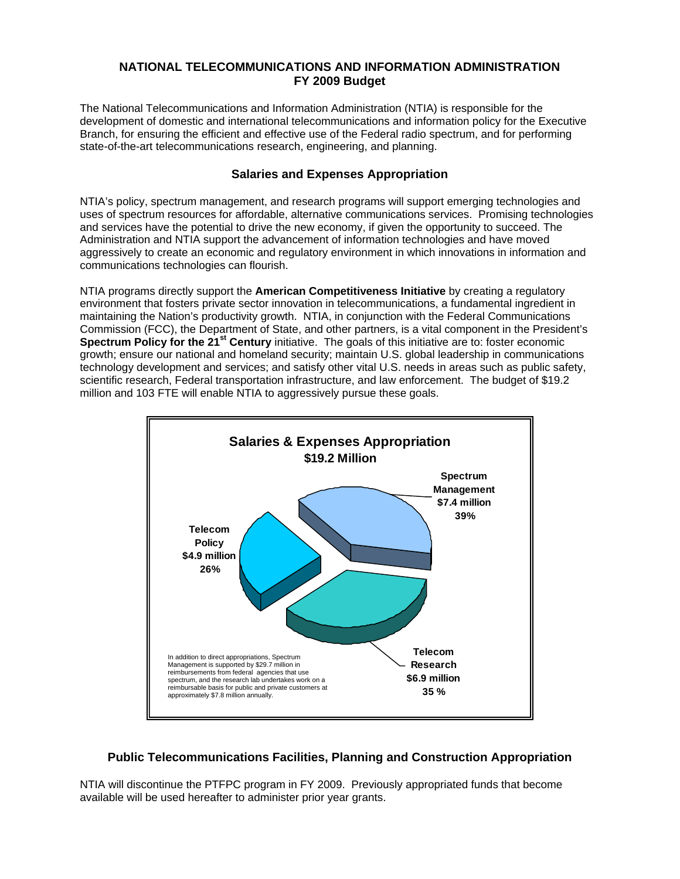## **NATIONAL TELECOMMUNICATIONS AND INFORMATION ADMINISTRATION FY 2009 Budget**

The National Telecommunications and Information Administration (NTIA) is responsible for the development of domestic and international telecommunications and information policy for the Executive Branch, for ensuring the efficient and effective use of the Federal radio spectrum, and for performing state-of-the-art telecommunications research, engineering, and planning.

## **Salaries and Expenses Appropriation**

NTIA's policy, spectrum management, and research programs will support emerging technologies and uses of spectrum resources for affordable, alternative communications services. Promising technologies and services have the potential to drive the new economy, if given the opportunity to succeed. The Administration and NTIA support the advancement of information technologies and have moved aggressively to create an economic and regulatory environment in which innovations in information and communications technologies can flourish.

NTIA programs directly support the **American Competitiveness Initiative** by creating a regulatory environment that fosters private sector innovation in telecommunications, a fundamental ingredient in maintaining the Nation's productivity growth. NTIA, in conjunction with the Federal Communications Commission (FCC), the Department of State, and other partners, is a vital component in the President's **Spectrum Policy for the 21st Century** initiative. The goals of this initiative are to: foster economic growth; ensure our national and homeland security; maintain U.S. global leadership in communications technology development and services; and satisfy other vital U.S. needs in areas such as public safety, scientific research, Federal transportation infrastructure, and law enforcement. The budget of \$19.2 million and 103 FTE will enable NTIA to aggressively pursue these goals.



## **Public Telecommunications Facilities, Planning and Construction Appropriation**

NTIA will discontinue the PTFPC program in FY 2009. Previously appropriated funds that become available will be used hereafter to administer prior year grants.